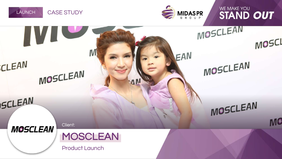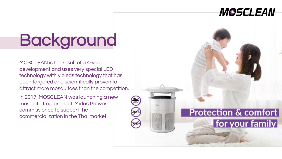#### *MOSCLEAN*

**Protection & comfort** 

for your family

## **Background**

MOSCLEAN is the result of a 4-year development and uses very special LED technology with violeds technology that has been targeted and scientifically proven to attract more mosquitoes than the competition.

In 2017, MOSCLEAN was launching a new mosquito trap product. Midas PR was commissioned to support the commercialization in the Thai market.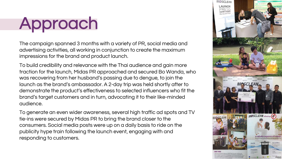# Approach

The campaign spanned 3 months with a variety of PR, social media and advertising activities, all working in conjunction to create the maximum impressions for the brand and product launch.

To build credibility and relevance with the Thai audience and gain more traction for the launch, Midas PR approached and secured Bo Wanda, who was recovering from her husband's passing due to dengue, to join the launch as the brand's ambassador. A 2-day trip was held shortly after to demonstrate the product's effectiveness to selected influencers who fit the brand's target customers and in turn, advocating it to their like-minded audience.

To generate an even wider awareness, several high traffic ad spots and TV tie-ins were secured by Midas PR to bring the brand closer to the consumers. Social media posts were up on a daily basis to ride on the publicity hype train following the launch event, engaging with and responding to customers.

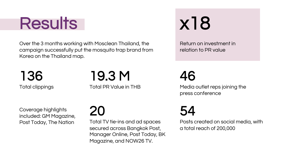### **Results**

Over the 3 months working with Mosclean Thailand, the campaign successfully put the mosquito trap brand from Korea on the Thailand map.

Total clippings

136

19.3 M

Total PR Value in THB

x18

Return on investment in relation to PR value

Media outlet reps joining the press conference

Coverage highlights included: GM Magazine, Post Today, The Nation

### $\boldsymbol{Z}$

Total TV tie-ins and ad spaces secured across Bangkok Post, Manager Online, Post Today, BK Magazine, and NOW26 TV.

#### 54

46

Posts created on social media, with a total reach of 200,000